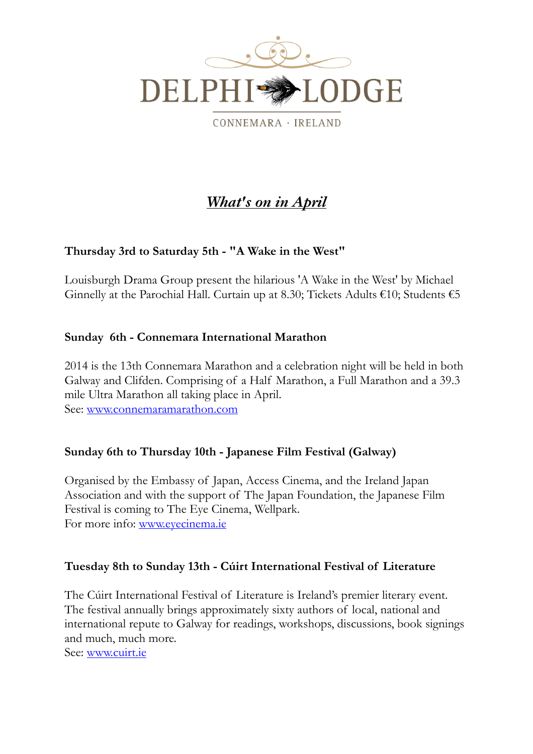

CONNEMARA · IRELAND

# *What's on in April*

# **Thursday 3rd to Saturday 5th - "A Wake in the West"**

Louisburgh Drama Group present the hilarious 'A Wake in the West' by Michael Ginnelly at the Parochial Hall. Curtain up at 8.30; Tickets Adults  $€10$ ; Students  $€5$ 

#### **Sunday 6th - Connemara International Marathon**

2014 is the 13th Connemara Marathon and a celebration night will be held in both Galway and Clifden. Comprising of a Half Marathon, a Full Marathon and a 39.3 mile Ultra Marathon all taking place in April. See: [www.connemaramarathon.com](http://www.connemaramarathon.com)

#### **Sunday 6th to Thursday 10th - Japanese Film Festival (Galway)**

Organised by the Embassy of Japan, Access Cinema, and the Ireland Japan Association and with the support of The Japan Foundation, the Japanese Film Festival is coming to The Eye Cinema, Wellpark. For more info: [www.eyecinema.ie](http://www.eyecinema.ie)

#### **Tuesday 8th to Sunday 13th - Cúirt International Festival of Literature**

The Cúirt International Festival of Literature is Ireland's premier literary event. The festival annually brings approximately sixty authors of local, national and international repute to Galway for readings, workshops, discussions, book signings and much, much more.

See: [www.cuirt.ie](http://www.cuirt.ie)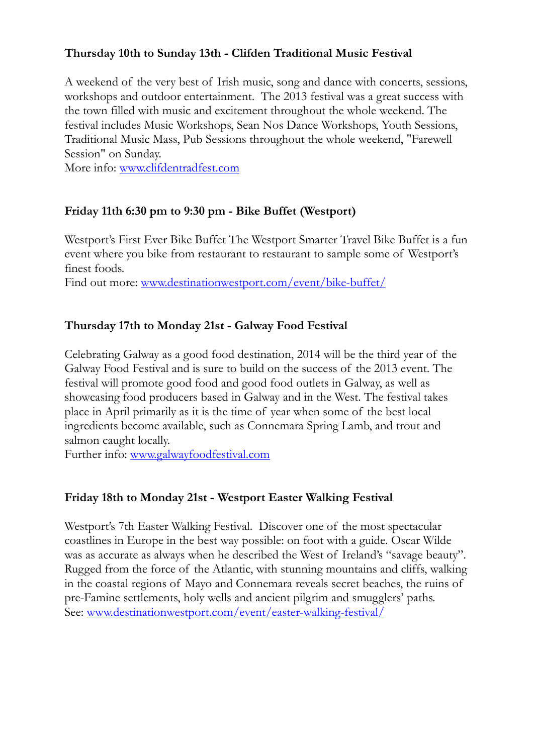## **Thursday 10th to Sunday 13th - Clifden Traditional Music Festival**

A weekend of the very best of Irish music, song and dance with concerts, sessions, workshops and outdoor entertainment. The 2013 festival was a great success with the town filled with music and excitement throughout the whole weekend. The festival includes Music Workshops, Sean Nos Dance Workshops, Youth Sessions, Traditional Music Mass, Pub Sessions throughout the whole weekend, "Farewell Session" on Sunday.

More info: [www.clifdentradfest.com](http://www.clifdentradfest.com)

#### **Friday 11th 6:30 pm to 9:30 pm - Bike Buffet (Westport)**

Westport's First Ever Bike Buffet The Westport Smarter Travel Bike Buffet is a fun event where you bike from restaurant to restaurant to sample some of Westport's finest foods.

Find out more: [www.destinationwestport.com/event/bike-buffet/](http://www.destinationwestport.com/event/bike-buffet/)

#### **Thursday 17th to Monday 21st - Galway Food Festival**

Celebrating Galway as a good food destination, 2014 will be the third year of the Galway Food Festival and is sure to build on the success of the 2013 event. The festival will promote good food and good food outlets in Galway, as well as showcasing food producers based in Galway and in the West. The festival takes place in April primarily as it is the time of year when some of the best local ingredients become available, such as Connemara Spring Lamb, and trout and salmon caught locally.

Further info: [www.galwayfoodfestival.com](http://www.galwayfoodfestival.com)

#### **Friday 18th to Monday 21st - Westport Easter Walking Festival**

Westport's 7th Easter Walking Festival. Discover one of the most spectacular coastlines in Europe in the best way possible: on foot with a guide. Oscar Wilde was as accurate as always when he described the West of Ireland's "savage beauty". Rugged from the force of the Atlantic, with stunning mountains and cliffs, walking in the coastal regions of Mayo and Connemara reveals secret beaches, the ruins of pre-Famine settlements, holy wells and ancient pilgrim and smugglers' paths. See: [www.destinationwestport.com/event/easter-walking-festival/](http://www.destinationwestport.com/event/easter-walking-festival/)